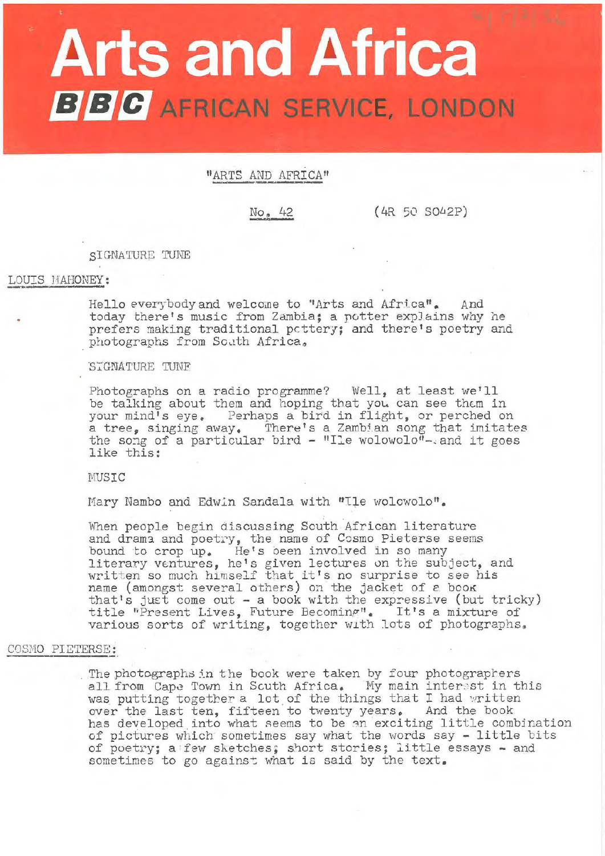# **Arts and Africa BBC** AFRICAN SERVICE, LONDON

"ARTS AND AFRICA"

No. 42

 $(4R 50 5042P)$ 

SIGNATURE TUNE

## LOUIS MAHONEY:

Hello everybody and welcome to "Arts and Africa". And today there's music from Zambia; a potter explains why he prefers making traditional pottery; and there's poetry and photographs from South Africa,

## STGNATURE TUNF

Photographs on a radio programme? Well, at least we'll be talking about them and hoping that you can see them in<br>your mind's eye. Perhaps a bird in flight, or perched on<br>a tree, singing away. There's a Zambian song that imitates<br>the song of a particular bird - "Ile wolowolo"-a like this:

MUSIC

Mary Nambo and Edwin Sandala with "Ile wolowolo".

When people begin discussing South African literature and drama and poetry, the name of Cosmo Pieterse seems bound to crop up. He's been involved in so many<br>literary ventures, he's given lectures on the subject, and written so much himself that it's no surprise to see his<br>name (amongst several others) on the jacket of a book that's just come out - a book with the expressive (but tricky)<br>title "Present Lives, Future Becoming". It's a mixture of<br>various sorts of writing, together with lots of photographs.

# COSMO PIETERSE:

The photographs in the book were taken by four photographers all from Cape Town in Scuth Africa. My main interest in this was putting together a lot of the things that I had written over the last ten, fifteen to twenty years. And the book has developed into what seems to be an exciting little combination of pictures which sometimes say what the words say - little bits of poetry; a few sketches; short stories; little essays - and sometimes to go against what is said by the text.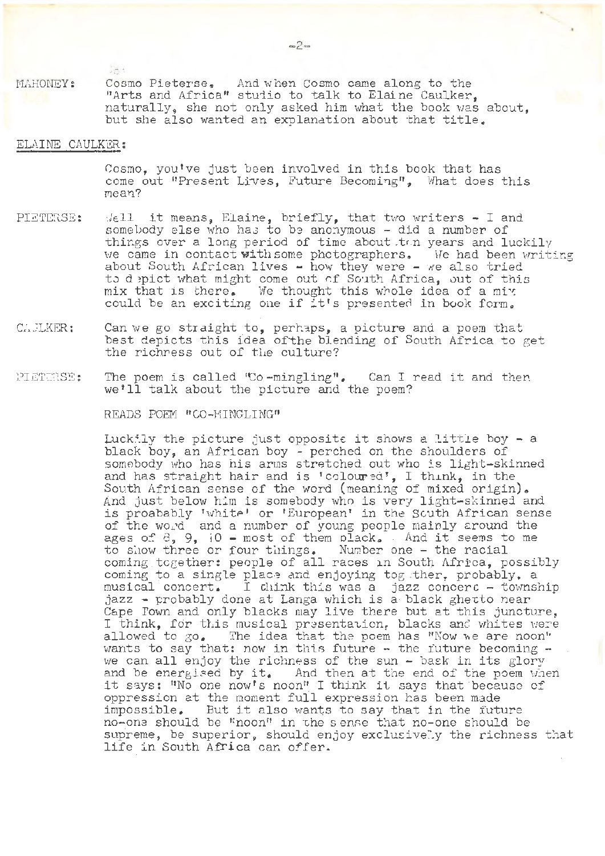Ast MAHONEY: Cosmo Pieterse, And when Cosmo came along to the "Arts and Africa" studio to talk to Elaine Caulker. naturally, she not only asked him what the book was about, but she also wanted an explanation about that title.

# ELAINE CAULKER:

Cosmo, you've just been involved in this book that has come out "Present Lives, Future Becoming", What does this mean?

- PIETERSE:  $M$ <sub>e</sub>ll it means, Elaine, briefly, that two writers  $-$  I and somebody else who has to be anonymous - did a number of things over a long period of time about ton years and luckily we came in contact with some photographers, We had been writing about South African lives  $-$  how they were  $-$  we also tried to depict what might come out of South Africa, out of this mix that is there. We thought this whole idea of a mix could be an exciting one if it's presented in book form.
- c:•,LJLKER: Can we go straight to, perhaps, a picture and a poem that best depicts this idea of the blending of South Africa to get the richness out of the culture?
- PI ET:CRSE: The poem is called 'Co-mingling". Can I read it and then we'll talk about the picture and the poem?

READS POEM "CO-MINGLING"

Luckily the picture just opposite it shows a little boy - a black. boy, an African boy - perched on the shoulders of somebody who has his arms stretched out who is light-skinned and has straight hair and is 'coloured', I think, in the South African sense of the word (meaning of mixed origin). And just below him is somebody who is very light-skinned and and just below him is somebody who is very fight-skinned and<br>is proabably 'white' or 'European' in the Scuth African sense of the word and a number of young people mainly around the ages of 8, 9, i0 - most of them plack, . And it seems to me to show three or four things. Number one - the racial coming together: people of all races in South Africa, possibly coming together. poople of all races in south hirled, possi boming to a single prace and enjoying together. Probably, a musical concert. I dilik this was a gazz concert - townsh<br>jazz - probably done at Langa which is a black ghetto near Cape Fown and only blacks may live there but at this juncture, I think, for this musical presentation, blacks and whites were allowed to go. The idea that the poem has "Now we are noon" wants to say that: now in this future  $-$  the future becoming  $$ wants to say that: now in this future  $\frac{1}{\cdot}$  the future becoming -<br>we can all enjoy the richness of the sun - bask in its glory we can all enjoy the richness of the sun - bask in its glory<br>and be energised by it. And then at the end of the poem when and be energised by it. And then at the end of the poem whe<br>it says: "No one now's noon" I think it says that because of oppression at the moment full expression has been made impossible. But it also wants to say that in the future no-one should be "noon" in the sense that no-one should be supreme, be superior, should enjoy exclusively the richness that life in South Africa can offer.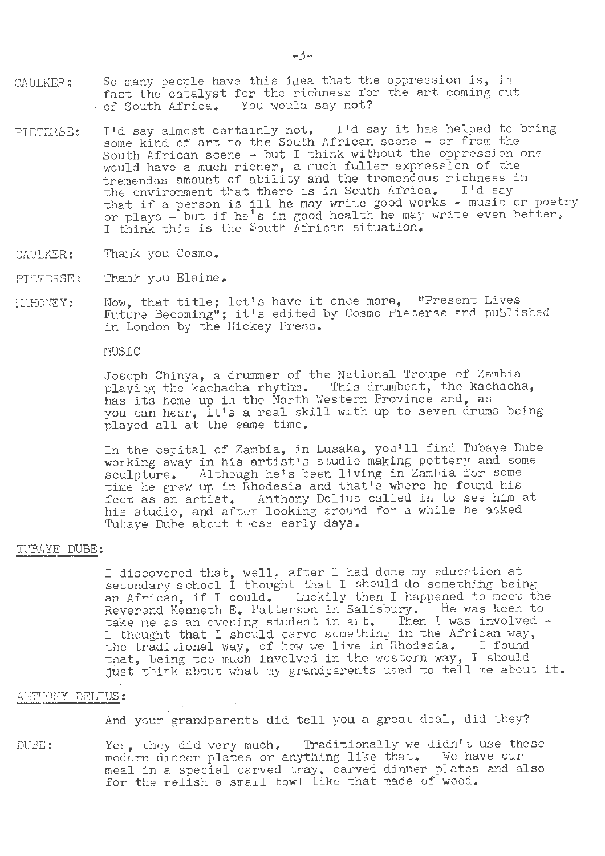- CAULKER: So many people have this idea that the oppression is, in fact the catalyst for the richness for the art coming out of South Africa. You would say not? You woulu say not?
- PIETERSE: I'd say almost certainly not. I'd say it has helped to bring some kind of art to the South African scene - or from the South African scene - but I think without the oppressjon one would have a much richer, a much fuller expression of the tremendos amount of ability and the tremendous richness in the environment that there is in South Africa. I'd say that if a person is ill he may write good works - music or poetry that it a person is ill he may write good works - music of poet.<br>or plays - but if he's in good health he may write even better. I think this is the South African situation.
- CAULKER: Thank you Cosmo.
- PIETERSE: Thank you Elaine.
- I'IAHOHEY: Now, that title; let's have it once more, "Present Lives Now, that title; let's nave it once more, "Present Lives<br>Future Becoming"; it's edited by Cosmo Pieterse and published in London by the Hickey Press.

MUSIC

Joseph Chinya, a drummer of the National Troupe of Zambia playing the kachacha rhythm. This drumbeat, the kachacha, has its home up in the North Western Province and, an you can hear, it's a real skill with up to seven drums being played all at the same time.

In the capital of Zambia, in Lusaka, you'll find Tubaye Dube In the capital of Zamola, in Lusaka, you'll lind futaye buby<br>working away in his artist's studio making pottery and some sculpture. Although he's been living in Zambia for some scurpture. Although he's been living in Edmontation some<br>time he grew up in Rhodesia and that's where he found his feet as an artist. Anthony Delius called in to see him at his studio, and after looking around for a while he asked Tubaye Duhe about those early days.

#### TUBAYE DUBE:

I discovered that, well, after I had done my education at it discovered that, weilt through individual do something being an African, if I could. Luckily then I happened to meet the Reverand Kenneth E. Patterson in Salisbury. He was keen to Reverand Kenneth E. Patterson in Salisbury. He was keen to take me as an evening student in all. Then I was involved  $\sim$ take me as an evening student in Salisbury. He was need to<br>I thought that I should carve something in the African way, the traditional way, of how we live in Rhodesia. I found that, being too much involved in the western way, I should just think about what my grandparents used to tell me about it.

### ANTHONY DELIUS:

And your grandparents did tell you a great deal, did they?

DUBE: Yes, they did very much. Traditionally we didn't use these modern dinner plates or anything like that. We have our modein drinker praces or dny oning frace one of the new reason in meal in a special carved thay, carved dinner practs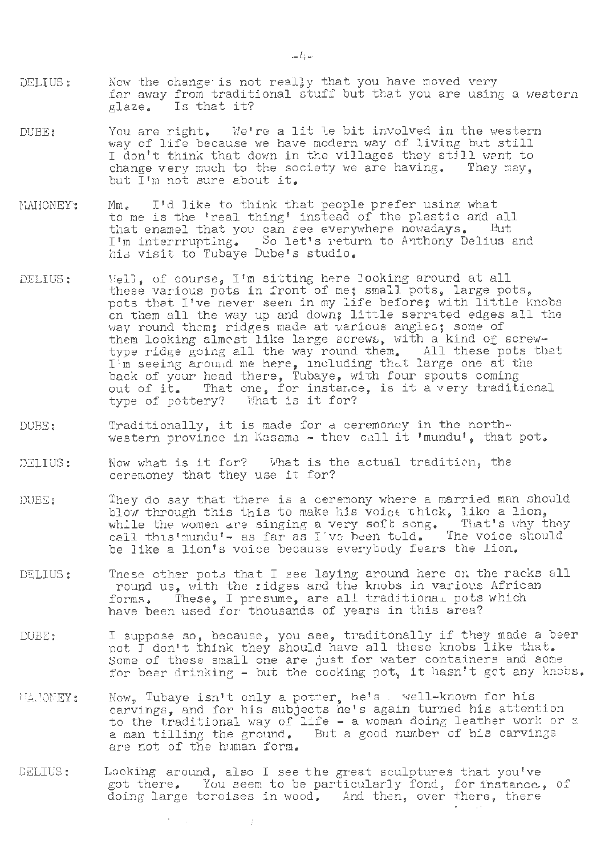- DELIUS: Now the change is not really that you have moved very far away from traditional stuff but that you are using a western glaze. Is that it? Is that it?
- DUBE: You are right, We're a lit le bit involved in the western way of life because we have modern way of living but still I don't think that down in the villages they still want to change very much to the society we are having. They may, but I'm not sure about it.
- MAHONEY: Mm. I'd like to think that people prefer using what nm. The to diffix that people prefer difficing what<br>to me is the 'real thing' instead of the plastic and all that enamel that you can eee everywhere nowadays. But I'm interrrupting. So let's return to Anthony Delius and his visit to Tubaye Dube's studio.
- DELIUS:  $Ve11$ , of course, I'm sitting here looking around at all these various pots in front of me; small pots, large pots, these various pots in front of me; small pots, large pots,<br>pots that I've never seen in my life before; with little knobs pots that l've never seen in my life before; with little knobs<br>on them all the way up and down; little serrated edges all the way round them; ridges made at various angles; some of them looking almost like large screws, with a kind of screwtype ridge going all the way round them. All these pots that I'm seeing around me here, including that large one at the hack of your head there, Tubaye, with four spouts coming back of your nead there, fubaye, with four spouts coming<br>out of it. That one, for instance, is it a very traditional out of it. That one, for instance<br>type of pottery? What is it for?
- DUBE: Traditionally, it is made for a ceremoney in the northwestern province in Kasama  $-$  they call it 'mundu', that pot.
- DELIUS: Now what is it for? What is the actual tradition, the ceremoney that they use it for?
- DUBE! They do say that there is a ceremony where a married man should they do say that there is a ceremony where a mairica man show<br>blow through this this to make his voice thick, like a lion, while the women are singing a very soft song. That's why they while one women are singing a very bers bong. Thas bony shows be like a lion's voice because everybody fears the lion.
- DELIUS: These other pots that I see laying around here on the racks all round us, with the ridges and the knobs in various African found us, with the fluges and the knobs in various Afflic.<br>forms, These, I presume, are all traditional pots which have been used for thousands of years in this area?
- DUBE: I suppose so, because, you see, traditonally if they made a beer pot I don't think they should have all these knobs like that. Some of these small one are just for water containers and some for beer drinking - but the cooking pot, it hasn't got any knobs.
- Now, Tubaye isn't only a potter, he's . well-known for his TIA. JONEY: carvings, and for his subjects he's again turned his attention to the traditional way of life  $-$  a woman doing leather work or a a man tilling the ground. But a good number of his carvings are not of the human form.
- DELIUS: Looking around, also I see the great sculptures that you've got there. You seem to be particularly fond, for instance, of doing large toroises in wood, And then, over there, there